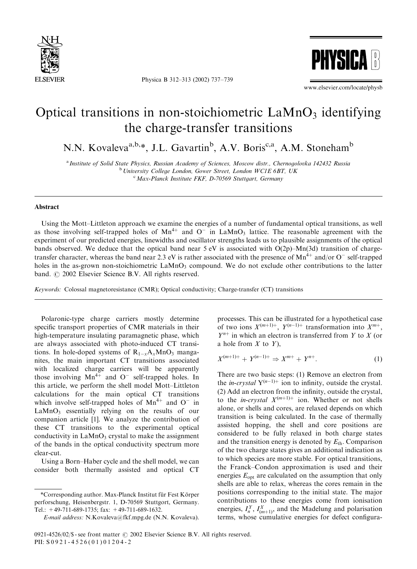

Physica B 312–313 (2002) 737–739



www.elsevier.com/locate/physb

## Optical transitions in non-stoichiometric  $\text{LAMnO}_3$  identifying the charge-transfer transitions

N.N. Kovaleva<sup>a,b,\*</sup>, J.L. Gavartin<sup>b</sup>, A.V. Boris<sup>c,a</sup>, A.M. Stoneham<sup>b</sup>

a Institute of Solid State Physics, Russian Academy of Sciences, Moscow distr., Chernogolovka 142432 Russia <sup>b</sup> University College London, Gower Street, London WC1E 6BT, UK <sup>c</sup> Max-Planck Institute FKF, D-70569 Stuttgart, Germany

## Abstract

Using the Mott–Littleton approach we examine the energies of a number of fundamental optical transitions, as well as those involving self-trapped holes of  $Mn^{4+}$  and  $O^-$  in LaMnO<sub>3</sub> lattice. The reasonable agreement with the experiment of our predicted energies, linewidths and oscillator strengths leads us to plausible assignments of the optical bands observed. We deduce that the optical band near  $5 \text{ eV}$  is associated with  $O(2p)$ –Mn(3d) transition of chargetransfer character, whereas the band near 2.3 eV is rather associated with the presence of  $Mn^{4+}$  and/or O<sup>-</sup> self-trapped holes in the as-grown non-stoichiometric  $\text{LAMnO}_3$  compound. We do not exclude other contributions to the latter band.  $\odot$  2002 Elsevier Science B.V. All rights reserved.

Keywords: Colossal magnetoresistance (CMR); Optical conductivity; Charge-transfer (CT) transitions

Polaronic-type charge carriers mostly determine specific transport properties of CMR materials in their high-temperature insulating paramagnetic phase, which are always associated with photo-induced CT transitions. In hole-doped systems of  $R_{1-x}A_xMnO_3$  manganites, the main important CT transitions associated with localized charge carriers will be apparently those involving  $Mn^{4+}$  and O<sup>-</sup> self-trapped holes. In this article, we perform the shell model Mott–Littleton calculations for the main optical CT transitions which involve self-trapped holes of  $Mn^{4+}$  and O<sup>-</sup> in  $LaMnO<sub>3</sub>$  essentially relying on the results of our companion article [1]. We analyze the contribution of these CT transitions to the experimental optical conductivity in  $\text{LaMnO}_3$  crystal to make the assignment of the bands in the optical conductivity spectrum more clear-cut.

Usinga Born–Haber cycle and the shell model, we can consider both thermally assisted and optical CT processes. This can be illustrated for a hypothetical case of two ions  $X^{(m+1)+}$ ,  $Y^{(n-1)+}$  transformation into  $X^{m+}$ ,  $Y^{n+}$  in which an electron is transferred from Y to X (or a hole from  $X$  to  $Y$ ),

$$
X^{(m+1)+} + Y^{(n-1)+} \Rightarrow X^{m+} + Y^{n+}.
$$
 (1)

There are two basic steps: (1) Remove an electron from the *in-crystal*  $Y^{(n-1)+}$  ion to infinity, outside the crystal. (2) Add an electron from the infinity, outside the crystal, to the *in-crystal*  $X^{(m+1)+}$  ion. Whether or not shells alone, or shells and cores, are relaxed depends on which transition is being calculated. In the case of thermally assisted hopping, the shell and core positions are considered to be fully relaxed in both charge states and the transition energy is denoted by  $E_{\text{th}}$ . Comparison of the two charge states gives an additional indication as to which species are more stable. For optical transitions, the Franck–Condon approximation is used and their energies  $E_{\text{opt}}$  are calculated on the assumption that only shells are able to relax, whereas the cores remain in the positions corresponding to the initial state. The major contributions to these energies come from ionisation energies,  $I_n^Y$ ,  $I_{(m+1)}^X$ , and the Madelung and polarisation terms, whose cumulative energies for defect configura-

<sup>\*</sup>Corresponding author. Max-Planck Institut für Fest Körper perforschung, Heisenbergstr. 1, D-70569 Stuttgort, Germany. Tel.:  $+49-711-689-1735$ ; fax:  $+49-711-689-1632$ .

E-mail address: N.Kovaleva@fkf.mpg.de (N.N. Kovaleva).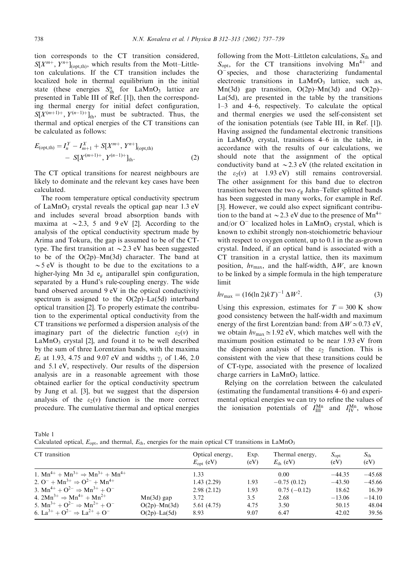tion corresponds to the CT transition considered,  $S[X^{m+}, Y^{n+}]_{\text{(opt,th)}}$ , which results from the Mott–Littleton calculations. If the CT transition includes the localized hole in thermal equilibrium in the initial state (these energies  $S_{\text{th}}^{\alpha}$  for LaMnO<sub>3</sub> lattice are presented in Table III of Ref. [1]), then the corresponding thermal energy for initial defect configuration,  $S[X^{(m+1)+}, Y^{(n-1)+}]_{\text{th}}$ , must be subtracted. Thus, the thermal and optical energies of the CT transitions can be calculated as follows:

$$
E_{\text{(opt,th)}} = I_n^Y - I_{m+1}^X + S[X^{m+}, Y^{n+}]_{\text{(opt,th)}}
$$
  
- 
$$
S[X^{(m+1)+}, Y^{(n-1)+}]_{\text{th}}.
$$
 (2)

The CT optical transitions for nearest neighbours are likely to dominate and the relevant key cases have been calculated.

The room temperature optical conductivity spectrum of LaMnO<sub>3</sub> crystal reveals the optical gap near  $1.3 \text{ eV}$ and includes several broad absorption bands with maxima at  $\sim$  2.3; 5 and 9 eV [2]. According to the analysis of the optical conductivity spectrum made by Arima and Tokura, the gap is assumed to be of the CTtype. The first transition at  $\sim$  2.3 eV has been suggested to be of the O(2p)–Mn(3d) character. The band at  $\sim$  5 eV is thought to be due to the excitations to a higher-lying Mn 3d  $e_q$  antiparallel spin configuration, separated by a Hund's rule-coupling energy. The wide band observed around 9 eV in the optical conductivity spectrum is assigned to the  $O(2p)$ –La(5d) interband optical transition [2]. To properly estimate the contribution to the experimental optical conductivity from the CT transitions we performed a dispersion analysis of the imaginary part of the dielectric function  $\varepsilon_2(v)$  in  $LaMnO<sub>3</sub>$  crystal [2], and found it to be well described by the sum of three Lorentzian bands, with the maxima  $E_i$  at 1.93, 4.75 and 9.07 eV and widths  $\gamma_i$  of 1.46, 2.0 and 5.1 eV, respectively. Our results of the dispersion analysis are in a reasonable agreement with those obtained earlier for the optical conductivity spectrum by Jung et al. [3], but we suggest that the dispersion analysis of the  $\varepsilon_2(v)$  function is the more correct procedure. The cumulative thermal and optical energies

following from the Mott–Littleton calculations,  $S_{th}$  and  $S_{\text{opt}}$ , for the CT transitions involving Mn<sup>4+</sup> and  $O<sup>-</sup>$  species, and those characterizing fundamental electronic transitions in  $LaMnO<sub>3</sub>$  lattice, such as, Mn(3d) gap transition,  $O(2p)$ –Mn(3d) and  $O(2p)$ – La(5d), are presented in the table by the transitions 1–3 and 4–6, respectively. To calculate the optical and thermal energies we used the self-consistent set of the ionisation potentials (see Table III, in Ref. [1]). Having assigned the fundamental electronic transitions in LaMnO<sub>3</sub> crystal, transitions  $4-6$  in the table, in accordance with the results of our calculations, we should note that the assignment of the optical conductivity band at  $\sim$  2.3 eV (the related excitation in the  $\varepsilon_2(v)$  at 1.93 eV) still remains controversial. The other assignment for this band due to electron transition between the two  $e_{\rm g}$  Jahn–Teller splitted bands has been suggested in many works, for example in Ref. [3]. However, we could also expect significant contribution to the band at  $\sim$  2.3 eV due to the presence of Mn<sup>4+</sup> and/or  $O^-$  localized holes in  $LaMnO_3$  crystal, which is known to exhibit strongly non-stoichiometric behaviour with respect to oxygen content, up to 0.1 in the as-grown crystal. Indeed, if an optical band is associated with a CT transition in a crystal lattice, then its maximum position,  $hv_{\text{max}}$ , and the half-width,  $\Delta W$ , are known to be linked by a simple formula in the high temperature limit

$$
hv_{\text{max}} = (16(\ln 2)kT)^{-1} \Delta W^2. \tag{3}
$$

Using this expression, estimates for  $T = 300$  K show good consistency between the half-width and maximum energy of the first Lorentzian band: from  $\Delta W \simeq 0.73$  eV, we obtain  $hv_{\text{max}} \approx 1.92 \text{ eV}$ , which matches well with the maximum position estimated to be near 1:93 eV from the dispersion analysis of the  $\varepsilon_2$  function. This is consistent with the view that these transitions could be of CT-type, associated with the presence of localized charge carriers in  $LaMnO<sub>3</sub>$  lattice.

Relying on the correlation between the calculated (estimating the fundamental transitions  $4-6$ ) and experimental optical energies we can try to refine the values of the ionisation potentials of  $I_{\text{III}}^{\text{Mn}}$  and  $I_{\text{IV}}^{\text{Mn}}$ , whose

Table 1

Calculated optical,  $E_{\text{opt}}$ , and thermal,  $E_{\text{th}}$ , energies for the main optical CT transitions in LaMnO<sub>3</sub>

| CT transition                                        |                    | Optical energy,<br>$E_{\rm opt}$ (eV) | Exp.<br>(eV) | Thermal energy,<br>$E_{\text{th}}$ (eV) | $S_{\rm opt}$<br>(eV) | $S_{\text{th}}$<br>(eV) |
|------------------------------------------------------|--------------------|---------------------------------------|--------------|-----------------------------------------|-----------------------|-------------------------|
| 1. $Mn^{4+} + Mn^{3+} \Rightarrow Mn^{3+} + Mn^{4+}$ |                    | 1.33                                  | 0.00         |                                         | $-44.35$              | $-45.68$                |
| 2. $Q^- + Mn^{3+} \Rightarrow Q^{2-} + Mn^{4+}$      |                    | 1.43(2.29)                            | 1.93         | $-0.75(0.12)$                           | $-43.50$              | $-45.66$                |
| 3. $Mn^{4+} + Q^{2-} \Rightarrow Mn^{3+} + Q^{-}$    |                    | 2.98(2.12)                            | 1.93         | $0.75(-0.12)$                           | 18.62                 | 16.39                   |
| 4. $2Mn^{3+} \Rightarrow Mn^{4+} + Mn^{2+}$          | $Mn(3d)$ gap       | 3.72                                  | 3.5          | 2.68                                    | $-13.06$              | $-14.10$                |
| 5. $Mn^{3+} + O^{2-} \Rightarrow Mn^{2+} + O^{-}$    | $O(2p)$ -Mn $(3d)$ | 5.61 (4.75)                           | 4.75         | 3.50                                    | 50.15                 | 48.04                   |
| 6. $La^{3+} + O^{2-} \Rightarrow La^{2+} + O^{-}$    | $O(2p)$ -La $(5d)$ | 8.93                                  | 9.07         | 6.47                                    | 42.02                 | 39.56                   |